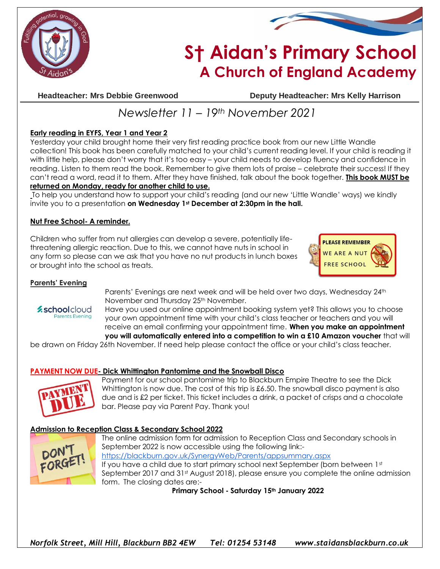



# **S† Aidan's Primary School A Church of England Academy**

**Headteacher: Mrs Debbie Greenwood Deputy Headteacher: Mrs Kelly Harrison**

## *Newsletter 11 – 19th November 2021*

#### **Early reading in EYFS, Year 1 and Year 2**

Yesterday your child brought home their very first reading practice book from our new Little Wandle collection! This book has been carefully matched to your child's current reading level. If your child is reading it with little help, please don't worry that it's too easy – your child needs to develop fluency and confidence in reading. Listen to them read the book. Remember to give them lots of praise – celebrate their success! If they can't read a word, read it to them. After they have finished, talk about the book together. **This book MUST be returned on Monday, ready for another child to use.**

To help you understand how to support your child's reading (and our new 'Little Wandle' ways) we kindly invite you to a presentation **on Wednesday 1st December at 2:30pm in the hall.** 

#### **Nut Free School- A reminder.**

Children who suffer from nut allergies can develop a severe, potentially lifethreatening allergic reaction. Due to this, we cannot have nuts in school in any form so please can we ask that you have no nut products in lunch boxes or brought into the school as treats.



#### **Parents' Evening**

*zschoolcloud* **Parents Evening** 

Parents' Evenings are next week and will be held over two days, Wednesday 24<sup>th</sup> November and Thursday 25th November.

Have you used our online appointment booking system yet? This allows you to choose your own appointment time with your child's class teacher or teachers and you will receive an email confirming your appointment time. **When you make an appointment you will automatically entered into a competition to win a £10 Amazon voucher** that will

be drawn on Friday 26th November. If need help please contact the office or your child's class teacher.

#### **PAYMENT NOW DUE- Dick Whittington Pantomime and the Snowball Disco**



Payment for our school pantomime trip to Blackburn Empire Theatre to see the Dick Whittington is now due. The cost of this trip is £6.50. The snowball disco payment is also due and is £2 per ticket. This ticket includes a drink, a packet of crisps and a chocolate bar. Please pay via Parent Pay. Thank you!

#### **Admission to Reception Class & Secondary School 2022**



The online admission form for admission to Reception Class and Secondary schools in September 2022 is now accessible using the following link: <https://blackburn.gov.uk/SynergyWeb/Parents/appsummary.aspx> If you have a child due to start primary school next September (born between 1st September 2017 and 31st August 2018), please ensure you complete the online admission form. The closing dates are:-

**Primary School - Saturday 15th January 2022**

*Norfolk Street, Mill Hill, Blackburn BB2 4EW Tel: 01254 53148 www.staidansblackburn.co.uk*